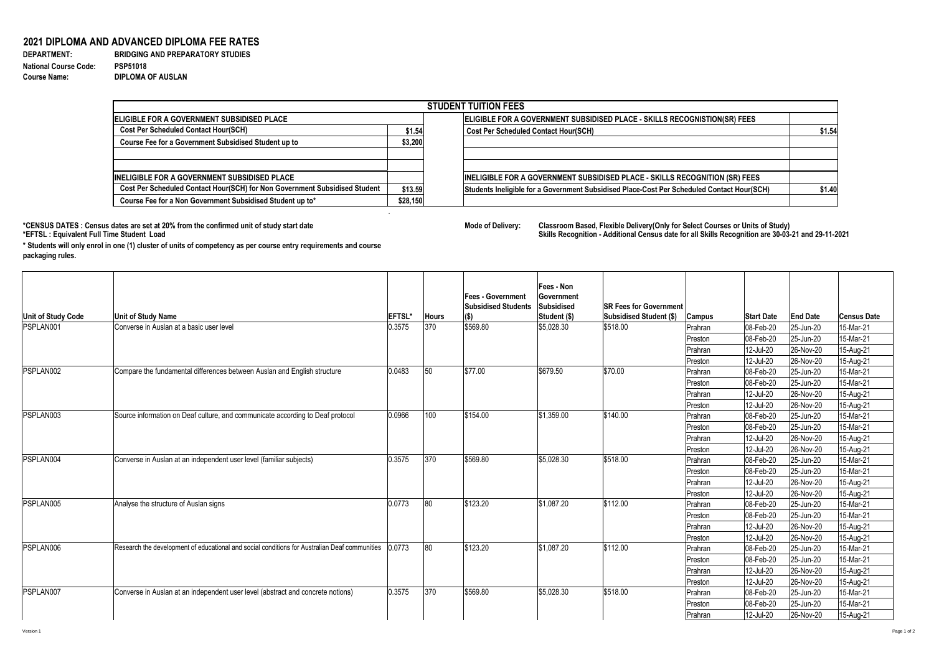## **2021 DIPLOMA AND ADVANCED DIPLOMA FEE RATES**

**National Course Code: PSP51018 Course Name: DIPLOMA OF AUSLAN**

**DEPARTMENT: BRIDGING AND PREPARATORY STUDIES** 

|                                                                            |          | <b>STUDENT TUITION FEES</b>                                                                |        |  |  |  |  |
|----------------------------------------------------------------------------|----------|--------------------------------------------------------------------------------------------|--------|--|--|--|--|
| <b>ELIGIBLE FOR A GOVERNMENT SUBSIDISED PLACE</b>                          |          | ELIGIBLE FOR A GOVERNMENT SUBSIDISED PLACE - SKILLS RECOGNISTION(SR) FEES                  |        |  |  |  |  |
| <b>Cost Per Scheduled Contact Hour(SCH)</b>                                | \$1.54   | <b>Cost Per Scheduled Contact Hour(SCH)</b>                                                | \$1.54 |  |  |  |  |
| <b>Course Fee for a Government Subsidised Student up to</b>                | \$3,200  |                                                                                            |        |  |  |  |  |
| <b>INELIGIBLE FOR A GOVERNMENT SUBSIDISED PLACE</b>                        |          | INELIGIBLE FOR A GOVERNMENT SUBSIDISED PLACE - SKILLS RECOGNITION (SR) FEES                |        |  |  |  |  |
| Cost Per Scheduled Contact Hour(SCH) for Non Government Subsidised Student | \$13.59  | Students Ineligible for a Government Subsidised Place-Cost Per Scheduled Contact Hour(SCH) | \$1.40 |  |  |  |  |
| Course Fee for a Non Government Subsidised Student up to*                  | \$28,150 |                                                                                            |        |  |  |  |  |

\*CENSUS DATES : Census dates are set at 20% from the confirmed unit of study start date **Mode Delixery: A select Courses or Select Courses or Select Courses of Delivery:**<br>\*EFTSL : Equivalent Full Time Student Load

| <b>Unit of Study Code</b> | <b>Unit of Study Name</b>                                                                     | <b>IEFTSL*</b> | <b>Hours</b> | <b>Fees - Government</b><br><b>Subsidised Students</b><br>$\vert (\$)$ | <b>Fees - Non</b><br><b>Government</b><br>Subsidised<br>Student (\$) | <b>ISR Fees for Government</b><br><b>Subsidised Student (\$)</b> | <b>Campus</b> | <b>Start Date</b>      | <b>End Date</b>        | <b>Census Date</b>     |
|---------------------------|-----------------------------------------------------------------------------------------------|----------------|--------------|------------------------------------------------------------------------|----------------------------------------------------------------------|------------------------------------------------------------------|---------------|------------------------|------------------------|------------------------|
| <b>PSPLAN001</b>          | Converse in Auslan at a basic user level                                                      | 0.3575         | 370          | \$569.80                                                               | \$5,028.30                                                           | \$518.00                                                         | Prahran       | 08-Feb-20              | 25-Jun-20              | 15-Mar-21              |
|                           |                                                                                               |                |              |                                                                        |                                                                      |                                                                  | Preston       | 08-Feb-20              | 25-Jun-20              | 15-Mar-21              |
|                           |                                                                                               |                |              |                                                                        |                                                                      |                                                                  | Prahran       | 12-Jul-20              | 26-Nov-20              | 15-Aug-21              |
|                           |                                                                                               |                |              |                                                                        |                                                                      |                                                                  | Preston       | 12-Jul-20              | 26-Nov-20              | 15-Aug-21              |
| PSPLAN002                 | Compare the fundamental differences between Auslan and English structure                      | 0.0483         | 50           | \$77.00                                                                | \$679.50                                                             | \$70.00                                                          | Prahran       | 08-Feb-20              | 25-Jun-20              | 15-Mar-21              |
|                           |                                                                                               |                |              |                                                                        |                                                                      |                                                                  | Preston       | 08-Feb-20              | 25-Jun-20              | 15-Mar-21              |
|                           |                                                                                               |                |              |                                                                        |                                                                      |                                                                  | Prahran       | 12-Jul-20              | 26-Nov-20              | 15-Aug-21              |
|                           |                                                                                               |                |              |                                                                        |                                                                      |                                                                  | Preston       | 12-Jul-20              | 26-Nov-20              | 15-Aug-21              |
| PSPLAN003<br>PSPLAN004    | Source information on Deaf culture, and communicate according to Deaf protocol                | 0.0966         | 100          | \$154.00                                                               | \$1,359.00                                                           | \$140.00                                                         | Prahran       | 08-Feb-20              | 25-Jun-20              | 15-Mar-21              |
|                           |                                                                                               |                |              |                                                                        |                                                                      |                                                                  | Preston       | 08-Feb-20              | 25-Jun-20              | 15-Mar-21              |
|                           |                                                                                               |                |              |                                                                        |                                                                      |                                                                  | Prahran       | 12-Jul-20              | 26-Nov-20              | 15-Aug-21              |
|                           |                                                                                               |                |              |                                                                        |                                                                      |                                                                  | Preston       | 12-Jul-20              | 26-Nov-20              | 15-Aug-21              |
|                           | Converse in Auslan at an independent user level (familiar subjects)                           | 0.3575         | 370          | \$569.80                                                               | \$5,028.30                                                           | \$518.00                                                         | Prahran       | 08-Feb-20              | 25-Jun-20              | 15-Mar-21              |
|                           |                                                                                               |                |              |                                                                        |                                                                      |                                                                  | Preston       | 08-Feb-20              | 25-Jun-20              | 15-Mar-21              |
|                           |                                                                                               |                |              |                                                                        |                                                                      |                                                                  | Prahran       | 12-Jul-20              | 26-Nov-20              | 15-Aug-21              |
|                           |                                                                                               |                |              |                                                                        |                                                                      |                                                                  | Preston       | 12-Jul-20              | 26-Nov-20              | 15-Aug-21              |
| PSPLAN005                 | Analyse the structure of Auslan signs                                                         | 0.0773         | 80           | \$123.20                                                               | \$1,087.20                                                           | \$112.00                                                         | Prahran       | 08-Feb-20              | $ 25 - Jun-20 $        | 15-Mar-21              |
|                           |                                                                                               |                |              |                                                                        |                                                                      |                                                                  | Preston       | 08-Feb-20              | $ 25 - Jun-20 $        | 15-Mar-21              |
|                           |                                                                                               |                |              |                                                                        |                                                                      |                                                                  | Prahran       | 12-Jul-20              | 26-Nov-20              | 15-Aug-21              |
|                           | Research the development of educational and social conditions for Australian Deaf communities | 0.0773         | 80           | \$123.20                                                               | \$1,087.20                                                           | \$112.00                                                         | Preston       | 12-Jul-20              | 26-Nov-20              | 15-Aug-21              |
| <b>PSPLAN006</b>          |                                                                                               |                |              |                                                                        |                                                                      |                                                                  | Prahran       | 08-Feb-20              | 25-Jun-20              | 15-Mar-21              |
|                           |                                                                                               |                |              |                                                                        |                                                                      |                                                                  | Preston       | 08-Feb-20              | 25-Jun-20              | 15-Mar-21              |
|                           |                                                                                               |                |              |                                                                        |                                                                      |                                                                  | Prahran       | 12-Jul-20              | <b>26-Nov-20</b>       | 15-Aug-21              |
| <b>PSPLAN007</b>          | Converse in Auslan at an independent user level (abstract and concrete notions)               | 0.3575         | 370          | \$569.80                                                               | \$5,028.30                                                           | \$518.00                                                         | Preston       | 12-Jul-20              | 26-Nov-20              | 15-Aug-21              |
|                           |                                                                                               |                |              |                                                                        |                                                                      |                                                                  | Prahran       | 08-Feb-20<br>08-Feb-20 | 25-Jun-20<br>25-Jun-20 | 15-Mar-21<br>15-Mar-21 |
|                           |                                                                                               |                |              |                                                                        |                                                                      |                                                                  | Preston       |                        |                        |                        |
|                           |                                                                                               |                |              |                                                                        |                                                                      |                                                                  | Prahran       | 12-Jul-20              | 26-Nov-20              | 15-Aug-21              |

Classroom Based, Flexible Delivery(Only for Select Courses or Units of Study)<br>Skills Recognition - Additional Census date for all Skills Recognition are 30-03-21 and 29-11-2021



**\* Students will only enrol in one (1) cluster of units of competency as per course entry requirements and course packaging rules.**